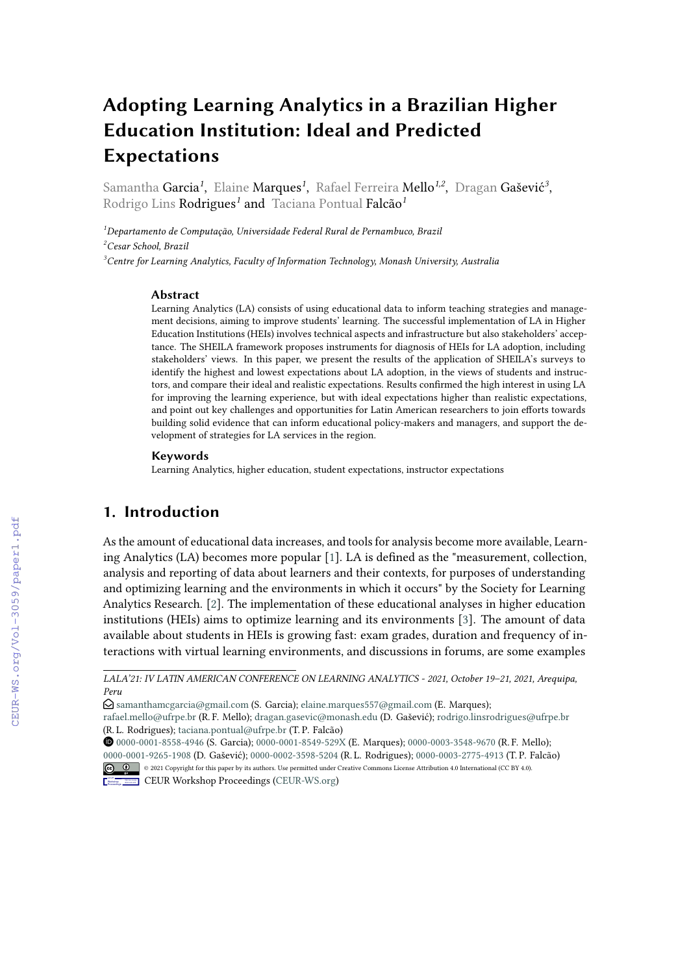# **Adopting Learning Analytics in a Brazilian Higher Education Institution: Ideal and Predicted Expectations**

Samantha **Garcia<sup>1</sup>,** Elaine **Marques<sup>1</sup>, Rafael Ferreira Mello<sup>1,2</sup>, Dragan Gašević<sup>3</sup>,** Rodrigo Lins Rodrigues*<sup>1</sup>* and Taciana Pontual Falcão*<sup>1</sup>*

*<sup>1</sup>Departamento de Computação, Universidade Federal Rural de Pernambuco, Brazil <sup>2</sup>Cesar School, Brazil <sup>3</sup>Centre for Learning Analytics, Faculty of Information Technology, Monash University, Australia*

#### **Abstract**

Learning Analytics (LA) consists of using educational data to inform teaching strategies and management decisions, aiming to improve students' learning. The successful implementation of LA in Higher Education Institutions (HEIs) involves technical aspects and infrastructure but also stakeholders' acceptance. The SHEILA framework proposes instruments for diagnosis of HEIs for LA adoption, including stakeholders' views. In this paper, we present the results of the application of SHEILA's surveys to identify the highest and lowest expectations about LA adoption, in the views of students and instructors, and compare their ideal and realistic expectations. Results confirmed the high interest in using LA for improving the learning experience, but with ideal expectations higher than realistic expectations, and point out key challenges and opportunities for Latin American researchers to join efforts towards building solid evidence that can inform educational policy-makers and managers, and support the development of strategies for LA services in the region.

#### **Keywords**

Learning Analytics, higher education, student expectations, instructor expectations

# **1. Introduction**

As the amount of educational data increases, and tools for analysis become more available, Learning Analytics (LA) becomes more popular [\[1\]](#page--1-0). LA is defined as the "measurement, collection, analysis and reporting of data about learners and their contexts, for purposes of understanding and optimizing learning and the environments in which it occurs" by the Society for Learning Analytics Research. [\[2\]](#page--1-1). The implementation of these educational analyses in higher education institutions (HEIs) aims to optimize learning and its environments [\[3\]](#page--1-2). The amount of data available about students in HEIs is growing fast: exam grades, duration and frequency of interactions with virtual learning environments, and discussions in forums, are some examples

[0000-0001-8558-4946](https://orcid.org/0000-0001-8558-4946) (S. Garcia); [0000-0001-8549-529X](https://orcid.org/0000-0001-8549-529X) (E. Marques); [0000-0003-3548-9670](https://orcid.org/0000-0003-3548-9670) (R. F. Mello); [0000-0001-9265-1908](https://orcid.org/0000-0001-9265-1908) (D. Gašević); [0000-0002-3598-5204](https://orcid.org/0000-0002-3598-5204) (R. L. Rodrigues); [0000-0003-2775-4913](https://orcid.org/0000-0003-2775-4913) (T. P. Falcão) © 2021 Copyright for this paper by its authors. Use permitted under Creative Commons License Attribution 4.0 International (CC BY 4.0).



**CEUR Workshop [Proceedings](http://ceur-ws.org) [\(CEUR-WS.org\)](http://ceur-ws.org)** 

*LALA'21: IV LATIN AMERICAN CONFERENCE ON LEARNING ANALYTICS - 2021, October 19–21, 2021, Arequipa, Peru*

 $\Theta$  [samanthamcgarcia@gmail.com](mailto:samanthamcgarcia@gmail.com) (S. Garcia); [elaine.marques557@gmail.com](mailto:elaine.marques557@gmail.com) (E. Marques);

[rafael.mello@ufrpe.br](mailto:rafael.mello@ufrpe.br) (R. F. Mello); [dragan.gasevic@monash.edu](mailto:dragan.gasevic@monash.edu) (D. Gašević); [rodrigo.linsrodrigues@ufrpe.br](mailto:rodrigo.linsrodrigues@ufrpe.br) (R. L. Rodrigues); [taciana.pontual@ufrpe.br](mailto:taciana.pontual@ufrpe.br) (T. P. Falcão)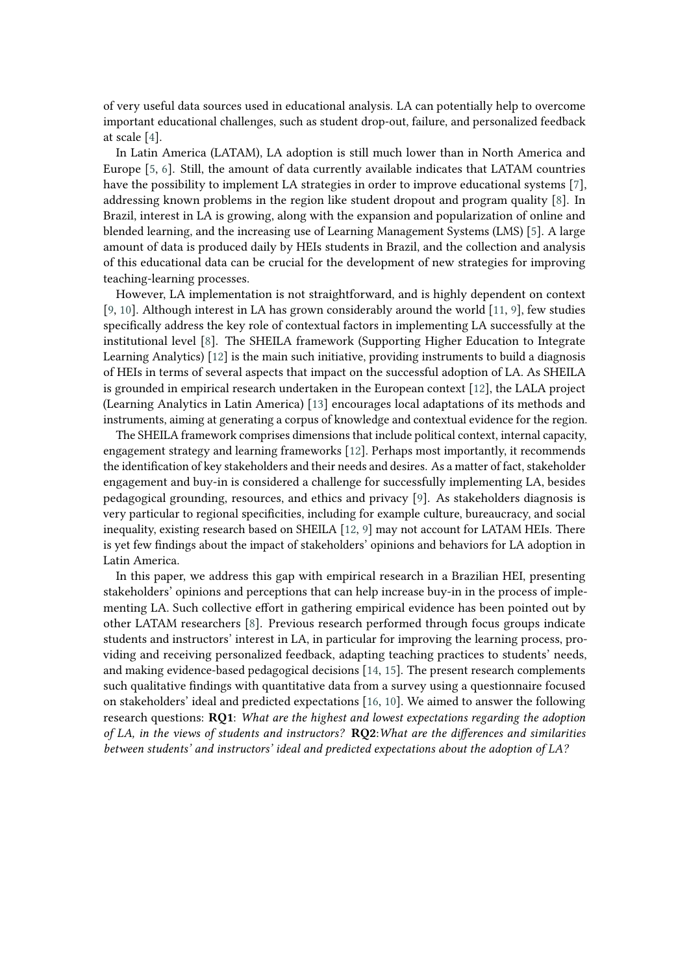of very useful data sources used in educational analysis. LA can potentially help to overcome important educational challenges, such as student drop-out, failure, and personalized feedback at scale [\[4\]](#page-8-0).

In Latin America (LATAM), LA adoption is still much lower than in North America and Europe [\[5,](#page-8-1) [6\]](#page-8-2). Still, the amount of data currently available indicates that LATAM countries have the possibility to implement LA strategies in order to improve educational systems [\[7\]](#page-9-0), addressing known problems in the region like student dropout and program quality [\[8\]](#page-9-1). In Brazil, interest in LA is growing, along with the expansion and popularization of online and blended learning, and the increasing use of Learning Management Systems (LMS) [\[5\]](#page-8-1). A large amount of data is produced daily by HEIs students in Brazil, and the collection and analysis of this educational data can be crucial for the development of new strategies for improving teaching-learning processes.

However, LA implementation is not straightforward, and is highly dependent on context [\[9,](#page-9-2) [10\]](#page-9-3). Although interest in LA has grown considerably around the world [\[11,](#page-9-4) [9\]](#page-9-2), few studies specifically address the key role of contextual factors in implementing LA successfully at the institutional level [\[8\]](#page-9-1). The SHEILA framework (Supporting Higher Education to Integrate Learning Analytics) [\[12\]](#page-9-5) is the main such initiative, providing instruments to build a diagnosis of HEIs in terms of several aspects that impact on the successful adoption of LA. As SHEILA is grounded in empirical research undertaken in the European context [\[12\]](#page-9-5), the LALA project (Learning Analytics in Latin America) [\[13\]](#page-9-6) encourages local adaptations of its methods and instruments, aiming at generating a corpus of knowledge and contextual evidence for the region.

The SHEILA framework comprises dimensions that include political context, internal capacity, engagement strategy and learning frameworks [\[12\]](#page-9-5). Perhaps most importantly, it recommends the identification of key stakeholders and their needs and desires. As a matter of fact, stakeholder engagement and buy-in is considered a challenge for successfully implementing LA, besides pedagogical grounding, resources, and ethics and privacy [\[9\]](#page-9-2). As stakeholders diagnosis is very particular to regional specificities, including for example culture, bureaucracy, and social inequality, existing research based on SHEILA [\[12,](#page-9-5) [9\]](#page-9-2) may not account for LATAM HEIs. There is yet few findings about the impact of stakeholders' opinions and behaviors for LA adoption in Latin America.

In this paper, we address this gap with empirical research in a Brazilian HEI, presenting stakeholders' opinions and perceptions that can help increase buy-in in the process of implementing LA. Such collective effort in gathering empirical evidence has been pointed out by other LATAM researchers [\[8\]](#page-9-1). Previous research performed through focus groups indicate students and instructors' interest in LA, in particular for improving the learning process, providing and receiving personalized feedback, adapting teaching practices to students' needs, and making evidence-based pedagogical decisions [\[14,](#page-9-7) [15\]](#page-9-8). The present research complements such qualitative findings with quantitative data from a survey using a questionnaire focused on stakeholders' ideal and predicted expectations [\[16,](#page-9-9) [10\]](#page-9-3). We aimed to answer the following research questions: **RQ1**: *What are the highest and lowest expectations regarding the adoption of LA, in the views of students and instructors?* **RQ2**:*What are the differences and similarities between students' and instructors' ideal and predicted expectations about the adoption of LA?*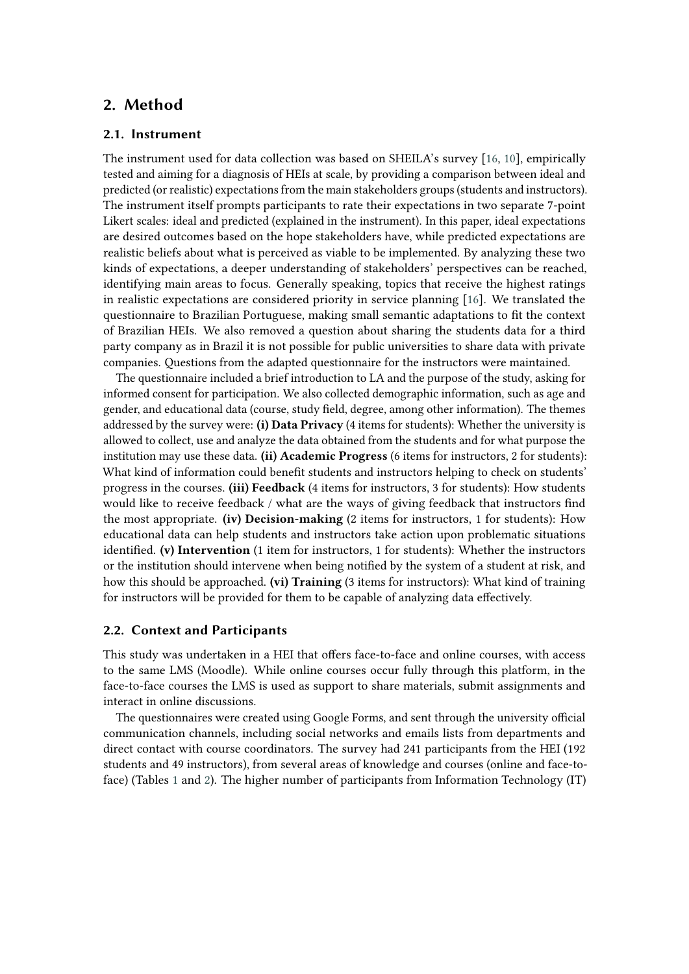## **2. Method**

#### **2.1. Instrument**

The instrument used for data collection was based on SHEILA's survey [\[16,](#page-9-9) [10\]](#page-9-3), empirically tested and aiming for a diagnosis of HEIs at scale, by providing a comparison between ideal and predicted (or realistic) expectations from the main stakeholders groups (students and instructors). The instrument itself prompts participants to rate their expectations in two separate 7-point Likert scales: ideal and predicted (explained in the instrument). In this paper, ideal expectations are desired outcomes based on the hope stakeholders have, while predicted expectations are realistic beliefs about what is perceived as viable to be implemented. By analyzing these two kinds of expectations, a deeper understanding of stakeholders' perspectives can be reached, identifying main areas to focus. Generally speaking, topics that receive the highest ratings in realistic expectations are considered priority in service planning [\[16\]](#page-9-9). We translated the questionnaire to Brazilian Portuguese, making small semantic adaptations to fit the context of Brazilian HEIs. We also removed a question about sharing the students data for a third party company as in Brazil it is not possible for public universities to share data with private companies. Questions from the adapted questionnaire for the instructors were maintained.

The questionnaire included a brief introduction to LA and the purpose of the study, asking for informed consent for participation. We also collected demographic information, such as age and gender, and educational data (course, study field, degree, among other information). The themes addressed by the survey were: **(i) Data Privacy** (4 items for students): Whether the university is allowed to collect, use and analyze the data obtained from the students and for what purpose the institution may use these data. **(ii) Academic Progress** (6 items for instructors, 2 for students): What kind of information could benefit students and instructors helping to check on students' progress in the courses. **(iii) Feedback** (4 items for instructors, 3 for students): How students would like to receive feedback / what are the ways of giving feedback that instructors find the most appropriate. **(iv) Decision-making** (2 items for instructors, 1 for students): How educational data can help students and instructors take action upon problematic situations identified. **(v) Intervention** (1 item for instructors, 1 for students): Whether the instructors or the institution should intervene when being notified by the system of a student at risk, and how this should be approached. **(vi) Training** (3 items for instructors): What kind of training for instructors will be provided for them to be capable of analyzing data effectively.

#### **2.2. Context and Participants**

This study was undertaken in a HEI that offers face-to-face and online courses, with access to the same LMS (Moodle). While online courses occur fully through this platform, in the face-to-face courses the LMS is used as support to share materials, submit assignments and interact in online discussions.

The questionnaires were created using Google Forms, and sent through the university official communication channels, including social networks and emails lists from departments and direct contact with course coordinators. The survey had 241 participants from the HEI (192 students and 49 instructors), from several areas of knowledge and courses (online and face-toface) (Tables [1](#page-3-0) and [2\)](#page-3-0). The higher number of participants from Information Technology (IT)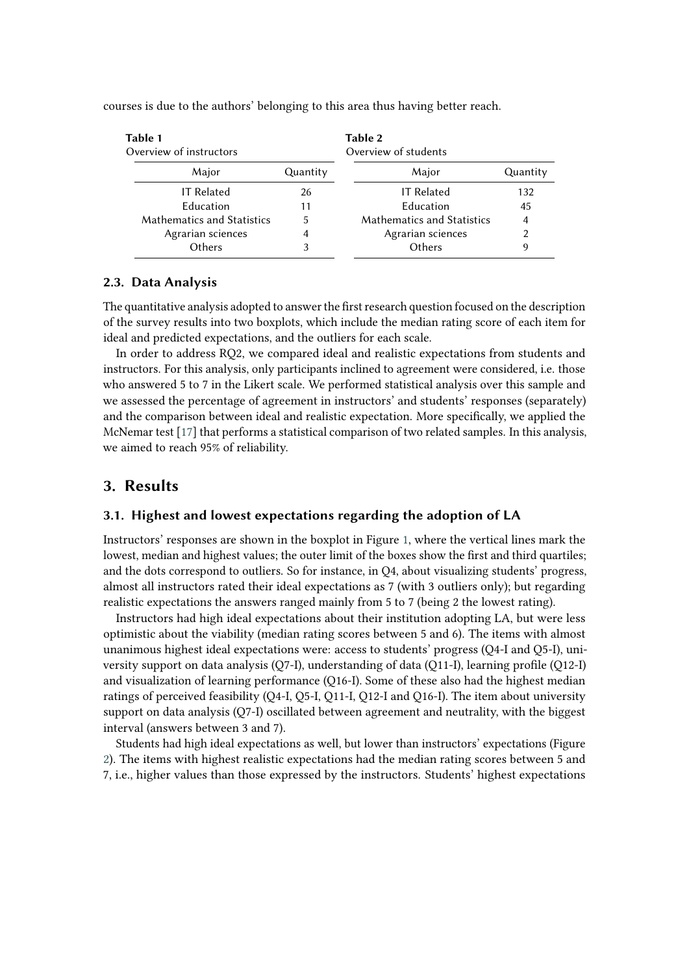| Table 1<br>Overview of instructors |          | Table 2<br>Overview of students |                |  |
|------------------------------------|----------|---------------------------------|----------------|--|
| Major                              | Quantity | Major                           | Quantity       |  |
| <b>IT Related</b>                  | 26       | <b>IT Related</b>               | 132            |  |
| Education                          | 11       | Education                       | 45             |  |
| <b>Mathematics and Statistics</b>  | 5        | Mathematics and Statistics      | $\overline{4}$ |  |
| Agrarian sciences                  | 4        | Agrarian sciences               | 2              |  |
| Others                             | 3        | Others                          | 9              |  |

<span id="page-3-0"></span>courses is due to the authors' belonging to this area thus having better reach.

#### **2.3. Data Analysis**

The quantitative analysis adopted to answer the first research question focused on the description of the survey results into two boxplots, which include the median rating score of each item for ideal and predicted expectations, and the outliers for each scale.

In order to address RQ2, we compared ideal and realistic expectations from students and instructors. For this analysis, only participants inclined to agreement were considered, i.e. those who answered 5 to 7 in the Likert scale. We performed statistical analysis over this sample and we assessed the percentage of agreement in instructors' and students' responses (separately) and the comparison between ideal and realistic expectation. More specifically, we applied the McNemar test [\[17\]](#page-9-10) that performs a statistical comparison of two related samples. In this analysis, we aimed to reach 95% of reliability.

## **3. Results**

### **3.1. Highest and lowest expectations regarding the adoption of LA**

Instructors' responses are shown in the boxplot in Figure [1,](#page-4-0) where the vertical lines mark the lowest, median and highest values; the outer limit of the boxes show the first and third quartiles; and the dots correspond to outliers. So for instance, in Q4, about visualizing students' progress, almost all instructors rated their ideal expectations as 7 (with 3 outliers only); but regarding realistic expectations the answers ranged mainly from 5 to 7 (being 2 the lowest rating).

Instructors had high ideal expectations about their institution adopting LA, but were less optimistic about the viability (median rating scores between 5 and 6). The items with almost unanimous highest ideal expectations were: access to students' progress (Q4-I and Q5-I), university support on data analysis (Q7-I), understanding of data (Q11-I), learning profile (Q12-I) and visualization of learning performance (Q16-I). Some of these also had the highest median ratings of perceived feasibility (Q4-I, Q5-I, Q11-I, Q12-I and Q16-I). The item about university support on data analysis (Q7-I) oscillated between agreement and neutrality, with the biggest interval (answers between 3 and 7).

Students had high ideal expectations as well, but lower than instructors' expectations (Figure [2\)](#page-4-1). The items with highest realistic expectations had the median rating scores between 5 and 7, i.e., higher values than those expressed by the instructors. Students' highest expectations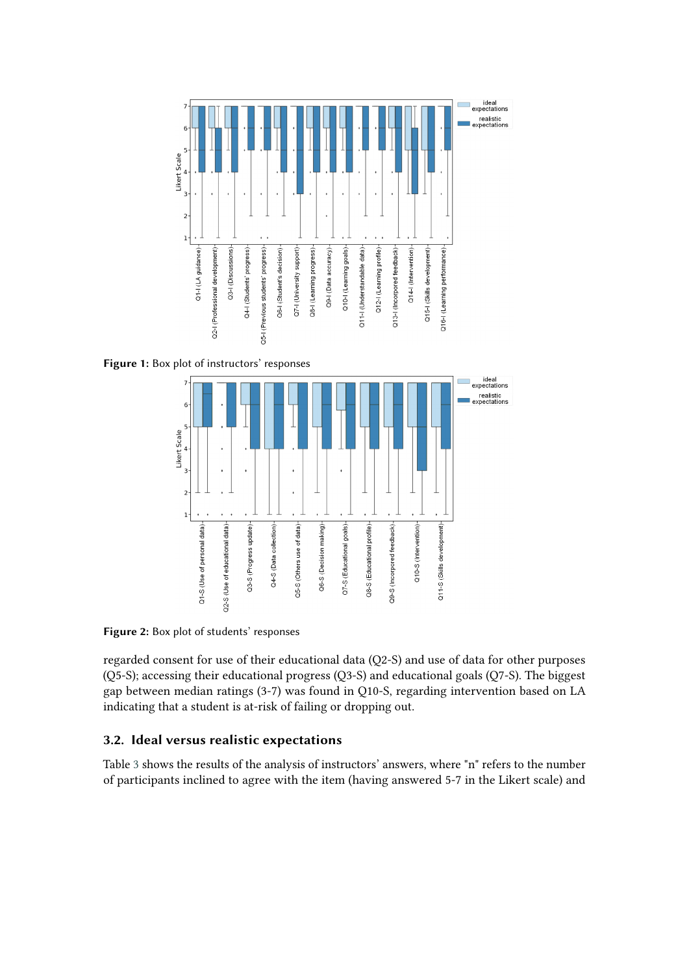<span id="page-4-0"></span>

<span id="page-4-1"></span>**Figure 1:** Box plot of instructors' responses



**Figure 2:** Box plot of students' responses

regarded consent for use of their educational data (Q2-S) and use of data for other purposes (Q5-S); accessing their educational progress (Q3-S) and educational goals (Q7-S). The biggest gap between median ratings (3-7) was found in Q10-S, regarding intervention based on LA indicating that a student is at-risk of failing or dropping out.

## **3.2. Ideal versus realistic expectations**

Table [3](#page-5-0) shows the results of the analysis of instructors' answers, where "n" refers to the number of participants inclined to agree with the item (having answered 5-7 in the Likert scale) and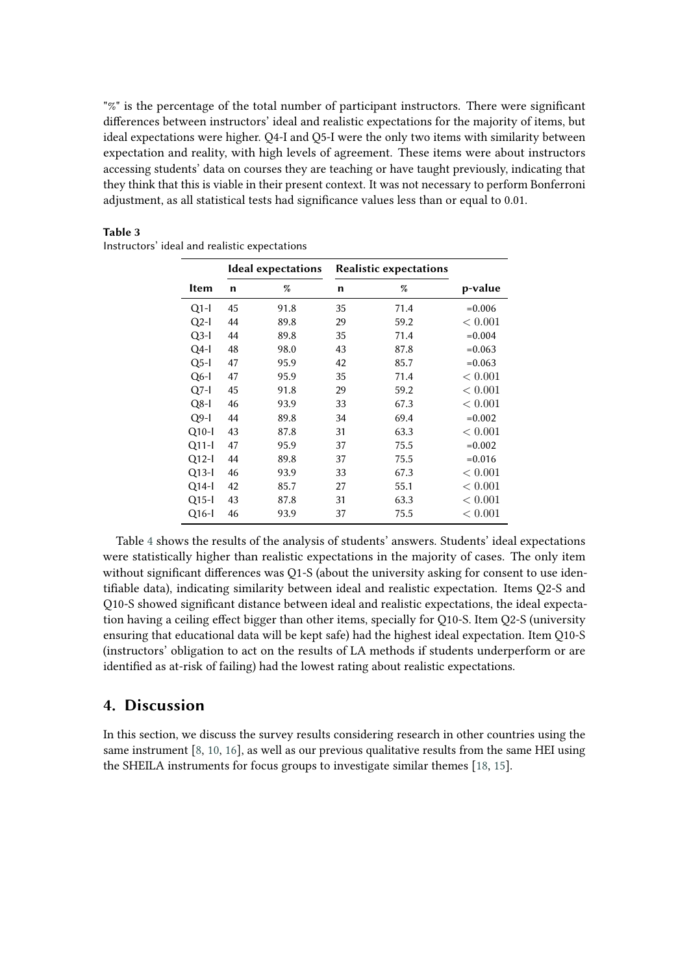"%" is the percentage of the total number of participant instructors. There were significant differences between instructors' ideal and realistic expectations for the majority of items, but ideal expectations were higher. Q4-I and Q5-I were the only two items with similarity between expectation and reality, with high levels of agreement. These items were about instructors accessing students' data on courses they are teaching or have taught previously, indicating that they think that this is viable in their present context. It was not necessary to perform Bonferroni adjustment, as all statistical tests had significance values less than or equal to 0.01.

|             | <b>Ideal expectations</b> |      | <b>Realistic expectations</b> |      |             |
|-------------|---------------------------|------|-------------------------------|------|-------------|
| <b>Item</b> | n                         | %    | n                             | %    | p-value     |
| $Q1-I$      | 45                        | 91.8 | 35                            | 71.4 | $= 0.006$   |
| $Q2-I$      | 44                        | 89.8 | 29                            | 59.2 | ${}< 0.001$ |
| $Q3-I$      | 44                        | 89.8 | 35                            | 71.4 | $= 0.004$   |
| $Q4-I$      | 48                        | 98.0 | 43                            | 87.8 | $=0.063$    |
| $Q5$ -I     | 47                        | 95.9 | 42                            | 85.7 | $=0.063$    |
| $Q6-I$      | 47                        | 95.9 | 35                            | 71.4 | ${}< 0.001$ |
| $Q7-I$      | 45                        | 91.8 | 29                            | 59.2 | ${}< 0.001$ |
| $Q8-I$      | 46                        | 93.9 | 33                            | 67.3 | < 0.001     |
| $Q9-I$      | 44                        | 89.8 | 34                            | 69.4 | $=0.002$    |
| $Q10-I$     | 43                        | 87.8 | 31                            | 63.3 | < 0.001     |
| $Q11-I$     | 47                        | 95.9 | 37                            | 75.5 | $=0.002$    |
| $Q12-I$     | 44                        | 89.8 | 37                            | 75.5 | $= 0.016$   |
| $Q13-I$     | 46                        | 93.9 | 33                            | 67.3 | < 0.001     |
| $Q14-I$     | 42                        | 85.7 | 27                            | 55.1 | < 0.001     |
| $Q15-I$     | 43                        | 87.8 | 31                            | 63.3 | < 0.001     |
| $Q16-I$     | 46                        | 93.9 | 37                            | 75.5 | < 0.001     |

<span id="page-5-0"></span>

| Table 3                                       |  |  |
|-----------------------------------------------|--|--|
| Instructors' ideal and realistic expectations |  |  |

Table [4](#page-6-0) shows the results of the analysis of students' answers. Students' ideal expectations were statistically higher than realistic expectations in the majority of cases. The only item without significant differences was Q1-S (about the university asking for consent to use identifiable data), indicating similarity between ideal and realistic expectation. Items Q2-S and Q10-S showed significant distance between ideal and realistic expectations, the ideal expectation having a ceiling effect bigger than other items, specially for Q10-S. Item Q2-S (university ensuring that educational data will be kept safe) had the highest ideal expectation. Item Q10-S (instructors' obligation to act on the results of LA methods if students underperform or are identified as at-risk of failing) had the lowest rating about realistic expectations.

# **4. Discussion**

In this section, we discuss the survey results considering research in other countries using the same instrument [\[8,](#page-9-1) [10,](#page-9-3) [16\]](#page-9-9), as well as our previous qualitative results from the same HEI using the SHEILA instruments for focus groups to investigate similar themes [\[18,](#page-9-11) [15\]](#page-9-8).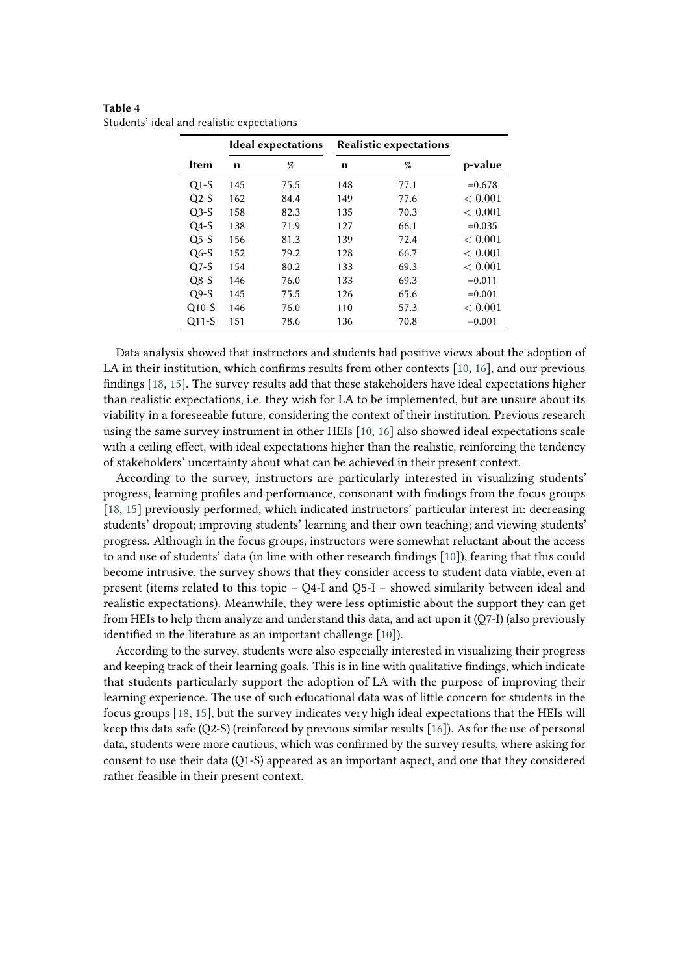|             | Ideal expectations |      | <b>Realistic expectations</b> |      |           |
|-------------|--------------------|------|-------------------------------|------|-----------|
| <b>Item</b> | n                  | %    | n                             | %    | p-value   |
| $Q1-S$      | 145                | 75.5 | 148                           | 77.1 | $= 0.678$ |
| $Q2-S$      | 162                | 84.4 | 149                           | 77.6 | < 0.001   |
| $Q3-S$      | 158                | 82.3 | 135                           | 70.3 | < 0.001   |
| $Q4-S$      | 138                | 71.9 | 127                           | 66.1 | $= 0.035$ |
| $O5-S$      | 156                | 81.3 | 139                           | 72.4 | < 0.001   |
| $Q6-S$      | 152                | 79.2 | 128                           | 66.7 | < 0.001   |
| $Q7-S$      | 154                | 80.2 | 133                           | 69.3 | < 0.001   |
| $Q8-S$      | 146                | 76.0 | 133                           | 69.3 | $= 0.011$ |
| $Q9-S$      | 145                | 75.5 | 126                           | 65.6 | $= 0.001$ |
| $Q10-S$     | 146                | 76.0 | 110                           | 57.3 | < 0.001   |
| $Q11-S$     | 151                | 78.6 | 136                           | 70.8 | $=0.001$  |

<span id="page-6-0"></span>**Table 4** Students' ideal and realistic expectations

Data analysis showed that instructors and students had positive views about the adoption of LA in their institution, which confirms results from other contexts [\[10,](#page-9-3) [16\]](#page-9-9), and our previous findings [\[18,](#page-9-11) [15\]](#page-9-8). The survey results add that these stakeholders have ideal expectations higher than realistic expectations, i.e. they wish for LA to be implemented, but are unsure about its viability in a foreseeable future, considering the context of their institution. Previous research using the same survey instrument in other HEIs [\[10,](#page-9-3) [16\]](#page-9-9) also showed ideal expectations scale with a ceiling effect, with ideal expectations higher than the realistic, reinforcing the tendency of stakeholders' uncertainty about what can be achieved in their present context.

According to the survey, instructors are particularly interested in visualizing students' progress, learning profiles and performance, consonant with findings from the focus groups [\[18,](#page-9-11) [15\]](#page-9-8) previously performed, which indicated instructors' particular interest in: decreasing students' dropout; improving students' learning and their own teaching; and viewing students' progress. Although in the focus groups, instructors were somewhat reluctant about the access to and use of students' data (in line with other research findings [\[10\]](#page-9-3)), fearing that this could become intrusive, the survey shows that they consider access to student data viable, even at present (items related to this topic – Q4-I and Q5-I – showed similarity between ideal and realistic expectations). Meanwhile, they were less optimistic about the support they can get from HEIs to help them analyze and understand this data, and act upon it (Q7-I) (also previously identified in the literature as an important challenge [\[10\]](#page-9-3)).

According to the survey, students were also especially interested in visualizing their progress and keeping track of their learning goals. This is in line with qualitative findings, which indicate that students particularly support the adoption of LA with the purpose of improving their learning experience. The use of such educational data was of little concern for students in the focus groups [\[18,](#page-9-11) [15\]](#page-9-8), but the survey indicates very high ideal expectations that the HEIs will keep this data safe (Q2-S) (reinforced by previous similar results [\[16\]](#page-9-9)). As for the use of personal data, students were more cautious, which was confirmed by the survey results, where asking for consent to use their data (Q1-S) appeared as an important aspect, and one that they considered rather feasible in their present context.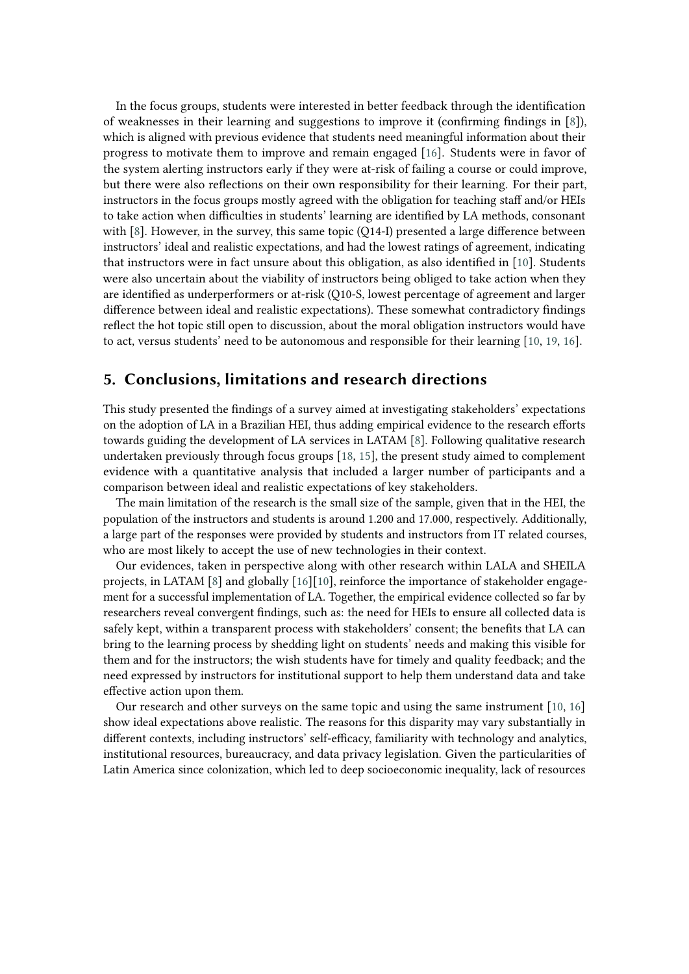In the focus groups, students were interested in better feedback through the identification of weaknesses in their learning and suggestions to improve it (confirming findings in [\[8\]](#page-9-1)), which is aligned with previous evidence that students need meaningful information about their progress to motivate them to improve and remain engaged [\[16\]](#page-9-9). Students were in favor of the system alerting instructors early if they were at-risk of failing a course or could improve, but there were also reflections on their own responsibility for their learning. For their part, instructors in the focus groups mostly agreed with the obligation for teaching staff and/or HEIs to take action when difficulties in students' learning are identified by LA methods, consonant with  $[8]$ . However, in the survey, this same topic (Q14-I) presented a large difference between instructors' ideal and realistic expectations, and had the lowest ratings of agreement, indicating that instructors were in fact unsure about this obligation, as also identified in [\[10\]](#page-9-3). Students were also uncertain about the viability of instructors being obliged to take action when they are identified as underperformers or at-risk (Q10-S, lowest percentage of agreement and larger difference between ideal and realistic expectations). These somewhat contradictory findings reflect the hot topic still open to discussion, about the moral obligation instructors would have to act, versus students' need to be autonomous and responsible for their learning [\[10,](#page-9-3) [19,](#page-9-12) [16\]](#page-9-9).

## **5. Conclusions, limitations and research directions**

This study presented the findings of a survey aimed at investigating stakeholders' expectations on the adoption of LA in a Brazilian HEI, thus adding empirical evidence to the research efforts towards guiding the development of LA services in LATAM [\[8\]](#page-9-1). Following qualitative research undertaken previously through focus groups [\[18,](#page-9-11) [15\]](#page-9-8), the present study aimed to complement evidence with a quantitative analysis that included a larger number of participants and a comparison between ideal and realistic expectations of key stakeholders.

The main limitation of the research is the small size of the sample, given that in the HEI, the population of the instructors and students is around 1.200 and 17.000, respectively. Additionally, a large part of the responses were provided by students and instructors from IT related courses, who are most likely to accept the use of new technologies in their context.

Our evidences, taken in perspective along with other research within LALA and SHEILA projects, in LATAM [\[8\]](#page-9-1) and globally [\[16\]](#page-9-9)[\[10\]](#page-9-3), reinforce the importance of stakeholder engagement for a successful implementation of LA. Together, the empirical evidence collected so far by researchers reveal convergent findings, such as: the need for HEIs to ensure all collected data is safely kept, within a transparent process with stakeholders' consent; the benefits that LA can bring to the learning process by shedding light on students' needs and making this visible for them and for the instructors; the wish students have for timely and quality feedback; and the need expressed by instructors for institutional support to help them understand data and take effective action upon them.

Our research and other surveys on the same topic and using the same instrument [\[10,](#page-9-3) [16\]](#page-9-9) show ideal expectations above realistic. The reasons for this disparity may vary substantially in different contexts, including instructors' self-efficacy, familiarity with technology and analytics, institutional resources, bureaucracy, and data privacy legislation. Given the particularities of Latin America since colonization, which led to deep socioeconomic inequality, lack of resources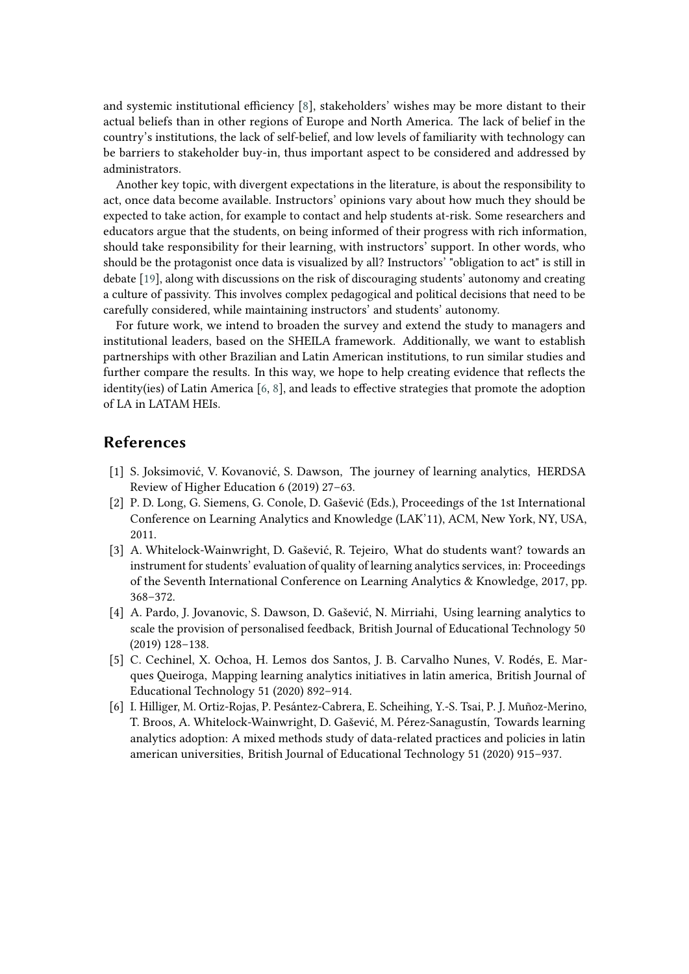and systemic institutional efficiency [\[8\]](#page-9-1), stakeholders' wishes may be more distant to their actual beliefs than in other regions of Europe and North America. The lack of belief in the country's institutions, the lack of self-belief, and low levels of familiarity with technology can be barriers to stakeholder buy-in, thus important aspect to be considered and addressed by administrators.

Another key topic, with divergent expectations in the literature, is about the responsibility to act, once data become available. Instructors' opinions vary about how much they should be expected to take action, for example to contact and help students at-risk. Some researchers and educators argue that the students, on being informed of their progress with rich information, should take responsibility for their learning, with instructors' support. In other words, who should be the protagonist once data is visualized by all? Instructors' "obligation to act" is still in debate [\[19\]](#page-9-12), along with discussions on the risk of discouraging students' autonomy and creating a culture of passivity. This involves complex pedagogical and political decisions that need to be carefully considered, while maintaining instructors' and students' autonomy.

For future work, we intend to broaden the survey and extend the study to managers and institutional leaders, based on the SHEILA framework. Additionally, we want to establish partnerships with other Brazilian and Latin American institutions, to run similar studies and further compare the results. In this way, we hope to help creating evidence that reflects the identity(ies) of Latin America [\[6,](#page-8-2) [8\]](#page-9-1), and leads to effective strategies that promote the adoption of LA in LATAM HEIs.

## **References**

- [1] S. Joksimović, V. Kovanović, S. Dawson, The journey of learning analytics, HERDSA Review of Higher Education 6 (2019) 27–63.
- [2] P. D. Long, G. Siemens, G. Conole, D. Gašević (Eds.), Proceedings of the 1st International Conference on Learning Analytics and Knowledge (LAK'11), ACM, New York, NY, USA, 2011.
- [3] A. Whitelock-Wainwright, D. Gašević, R. Tejeiro, What do students want? towards an instrument for students' evaluation of quality of learning analytics services, in: Proceedings of the Seventh International Conference on Learning Analytics & Knowledge, 2017, pp. 368–372.
- <span id="page-8-0"></span>[4] A. Pardo, J. Jovanovic, S. Dawson, D. Gašević, N. Mirriahi, Using learning analytics to scale the provision of personalised feedback, British Journal of Educational Technology 50 (2019) 128–138.
- <span id="page-8-1"></span>[5] C. Cechinel, X. Ochoa, H. Lemos dos Santos, J. B. Carvalho Nunes, V. Rodés, E. Marques Queiroga, Mapping learning analytics initiatives in latin america, British Journal of Educational Technology 51 (2020) 892–914.
- <span id="page-8-2"></span>[6] I. Hilliger, M. Ortiz-Rojas, P. Pesántez-Cabrera, E. Scheihing, Y.-S. Tsai, P. J. Muñoz-Merino, T. Broos, A. Whitelock-Wainwright, D. Gašević, M. Pérez-Sanagustín, Towards learning analytics adoption: A mixed methods study of data-related practices and policies in latin american universities, British Journal of Educational Technology 51 (2020) 915–937.